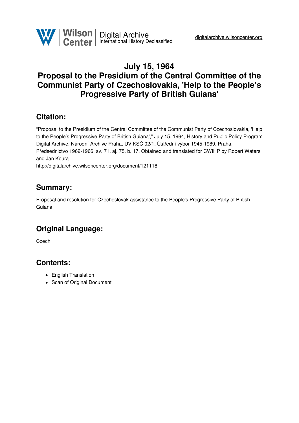

### **July 15, 1964 Proposal to the Presidium of the Central Committee of the Communist Party of Czechoslovakia, 'Help to the People's Progressive Party of British Guiana'**

### **Citation:**

"Proposal to the Presidium of the Central Committee of the Communist Party of Czechoslovakia, 'Help to the People's Progressive Party of British Guiana'," July 15, 1964, History and Public Policy Program Digital Archive, Národní Archive Praha, ÚV KSČ 02/1, Ústřední výbor 1945-1989, Praha, Předsednictvo 1962-1966, sv. 71, aj. 75, b. 17. Obtained and translated for CWIHP by Robert Waters and Jan Koura <http://digitalarchive.wilsoncenter.org/document/121118>

**Summary:**

Proposal and resolution for Czechoslovak assistance to the People's Progressive Party of British Guiana.

## **Original Language:**

**Czech** 

### **Contents:**

- English Translation
- Scan of Original Document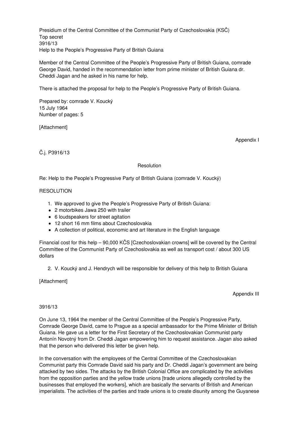Presidium of the Central Committee of the Communist Party of Czechoslovakia (KSČ) Top secret 3916/13 Help to the People's Progressive Party of British Guiana

Member of the Central Committee of the People's Progressive Party of British Guiana, comrade George David, handed in the recommendation letter from prime minister of British Guiana dr. Cheddi Jagan and he asked in his name for help.

There is attached the proposal for help to the People's Progressive Party of British Guiana.

Prepared by: comrade V. Koucký 15 July 1964 Number of pages: 5

[Attachment]

Appendix I

Č.j. P3916/13

#### Resolution

Re: Help to the People's Progressive Party of British Guiana (comrade V. Koucký)

#### **RESOLUTION**

- 1. We approved to give the People's Progressive Party of British Guiana:
- 2 motorbikes Jawa 250 with trailer
- 6 loudspeakers for street agitation
- 12 short 16 mm films about Czechoslovakia
- A collection of political, economic and art literature in the English language

Financial cost for this help – 90,000 KČS [Czechoslovakian crowns] will be covered by the Central Committee of the Communist Party of Czechoslovakia as well as transport cost / about 300 US dollars

2. V. Koucký and J. Hendrych will be responsible for delivery of this help to British Guiana

[Attachment]

Appendix III

#### 3916/13

On June 13, 1964 the member of the Central Committee of the People's Progressive Party, Comrade George David, came to Prague as a special ambassador for the Prime Minister of British Guiana. He gave us a letter for the First Secretary of the Czechoslovakian Communist party Antonín Novotný from Dr. Cheddi Jagan empowering him to request assistance. Jagan also asked that the person who delivered this letter be given help.

In the conversation with the employees of the Central Committee of the Czechoslovakian Communist party this Comrade David said his party and Dr. Cheddi Jagan's government are being attacked by two sides. The attacks by the British Colonial Office are complicated by the activities from the opposition parties and the yellow trade unions [trade unions allegedly controlled by the businesses that employed the workers], which are basically the servants of British and American imperialists. The activities of the parties and trade unions is to create disunity among the Guyanese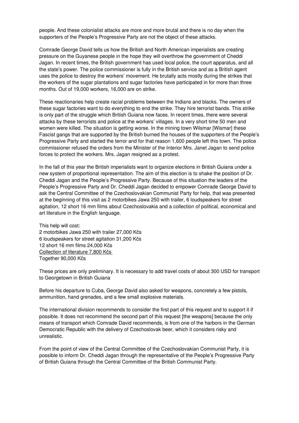people. And these colonialist attacks are more and more brutal and there is no day when the supporters of the People's Progressive Party are not the object of these attacks.

Comrade George David tells us how the British and North American imperialists are creating pressure on the Guyanese people in the hope they will overthrow the government of Cheddi Jagan. In recent times, the British government has used local police, the court apparatus, and all the state's power. The police commissioner is fully in the British service and as a British agent uses the police to destroy the workers' movement. He brutally acts mostly during the strikes that the workers of the sugar plantations and sugar factories have participated in for more than three months. Out of 19,000 workers, 16,000 are on strike.

These reactionaries help create racial problems between the Indians and blacks. The owners of these sugar factories want to do everything to end the strike. They hire terrorist bands. This strike is only part of the struggle which British Guiana now faces. In recent times, there were several attacks by these terrorists and police at the workers' villages. In a very short time 50 men and women were killed. The situation is getting worse. In the mining town Wilsmar [Wismar] these Fascist gangs that are supported by the British burned the houses of the supporters of the People's Progressive Party and started the terror and for that reason 1,600 people left this town. The police commissioner refused the orders from the Minister of the Interior Mrs. Janet Jagan to send police forces to protect the workers. Mrs. Jagan resigned as a protest.

In the fall of this year the British imperialists want to organize elections in British Guiana under a new system of proportional representation. The aim of this election is to shake the position of Dr. Cheddi Jagan and the People's Progressive Party. Because of this situation the leaders of the People's Progressive Party and Dr. Cheddi Jagan decided to empower Comrade George David to ask the Central Committee of the Czechoslovakian Communist Party for help, that was presented at the beginning of this visit as 2 motorbikes Jawa 250 with trailer, 6 loudspeakers for street agitation, 12 short 16 mm films about Czechoslovakia and a collection of political, economical and art literature in the English language.

This help will cost: 2 motorbikes Jawa 250 with trailer 27,000 Kčs 6 loudspeakers for street agitation 31,200 Kčs 12 short 16 mm films 24,000 Kčs Collection of literature 7,800 Kčs Together 90,000 Kčs

These prices are only preliminary. It is necessary to add travel costs of about 300 USD for transport to Georgetown in British Guiana

Before his departure to Cuba, George David also asked for weapons, concretely a few pistols, ammunition, hand grenades, and a few small explosive materials.

The international division recommends to consider the first part of this request and to support it if possible. It does not recommend the second part of this request [the weapons] because the only means of transport which Comrade David recommends, is from one of the harbors in the German Democratic Republic with the delivery of Czechoslovak beer, which it considers risky and unrealistic.

From the point of view of the Central Committee of the Czechoslovakian Communist Party, it is possible to inform Dr. Cheddi Jagan through the representative of the People's Progressive Party of British Guiana through the Central Committee of the British Communist Party.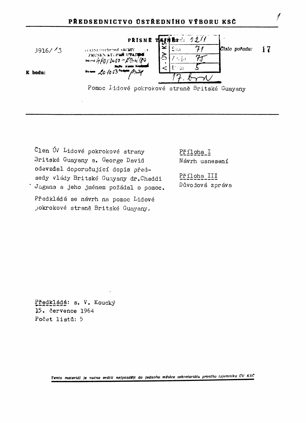

Člen ÚV Lidové pokrokové strany Britské Guayany s. George David odevzdal doporučující dopis předsedy vlády Britské Guayany dr.Cheddi .<br>Jagana a jeho jménem požádal o pomoc. Předkládá se návrh na pomoc Lidové pokrokové straně Britské Guayany.

Příloha I Návrh usnesení

Příloha III Důvodová zpráva

Předkládá: s. V. Koucký 15. července 1964 Počet listů: 5

Tento materiál je nutno vrátit nejpozději do jednoho měsíce sekretariátu prvního tajemníka ÚV KSČ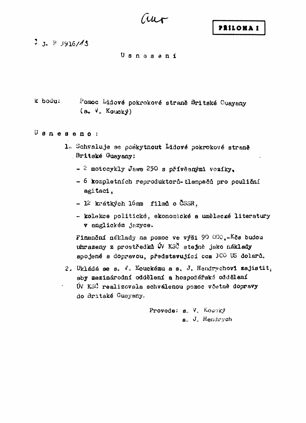$\mu$ 

 $2.3.$  P 3916/13

Usnasení

k bodu: Pomoc Lidové pokrokové straně Britské Guayany  $(a_0, V_0, K_{\text{OUE}})$ 

 $U$  sneseno:

- 1. Schvaluje se poskytnout Lidové pokrokové straně **Britské Guayany:** 
	- 2 motocykly Jawa 250 s přívěsnými vozíky.
	- 6 kompletních reproduktorů-tlampačů pro pouliční agitaci.
	- $-12$  krátkých lómm filmů o ČSSR.
	- kolekce politické, ekonomické a umělecké literatury v anglickém jazyce.

Finanční néklady na pomoc ve výši 90 000.-Kča budou uhrazeny z prostředků ÚV KSČ stejně jako náklady spojené s dopravou, představující cca 3CO US dolarů.

2. Ukládá se s. V. Kouckému a s. J. Hendrychovi zajistit, aby mezinárodní oddělení a hospodářské oddělení ÚV KSČ realizovala schválenou pomoc včetně dopravy do Britské Guayany.

> Provede: s. V. Koucky s. J. Hendrych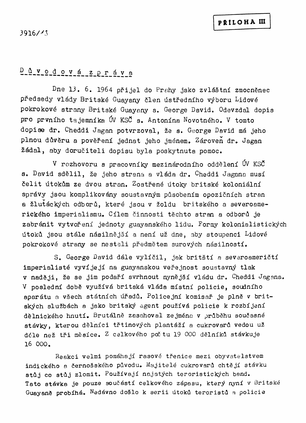# $D$   $Q$   $V$   $O$   $d$   $O$   $V$   $d$   $Z$   $P$   $T$   $d$   $V$   $d$

Dne 13. 6. 1964 přijel do Prahy jako zvláštní zmocněnec předsedy vlády Britské Guayany člen ústředního výboru Lidové pokrokové strany Britské Guayany s. George David. Odevzdal dopis pro prvního tajemníka ÚV KSČ s. Antonína Novotného. V tomto dopise dr. Cheddi Jagan potvrzoval, že s. George David má jeho plnou důvěru a pověření jednat jeho jménem. Zároveň dr. Jagan žádal, aby doručiteli dopisu byla poskytnuta pomoc.

V rozhovoru s pracovníky mezinárodního oddělení ÚV KSČ s. David sdělil, že jeho strana a vláda dr. Cheddi Jagana musí čelit útokům ze dvou stran. Zostřené útoky britské koloniální správy jsou komplikovány soustavným působením opozičních stran a žlutáckých odborů, které jsou v žoldu britského a severoamerického imperialismu. Cílem činnosti těchto stran a odborů je zabránit vytvoření jednoty guayanského lidu. Formy kolonialistických útoků jsou stále násilnější a není už dne, aby stoupenci Lidové pokrokové strany se nestali předmětem surových násilností.

S. George David dále vylíčil, jak britští a severoameričtí imperialisté vyvíjejí na guayanskou veřejnost soustavný tlak v naději, že se jim podaří svrhnout nynější vládu dr. Cheddi Jagana. V poslední době využívá britská vláda místní policie, soudního aparátu a všech státních úřadů. Policejní komisař je plně v britských službách a jako britský agent používá policie k rozbíjení dělnického hnutí. Brutálně zasahoval zejména v průběhu současné stávky, kterou dělníci třtinových plantáží a cukrovarů vedou už déle než tři měsíce. Z celkového počtu 19 000 dělníků stávkuje 16 000.

Reakci velmi pomáhají rasové třenice mezi obyvatelstvem indického a černošského původu. Majitelé cukrovarů chtějí stávku stůj co stůj zlomit. Používají najatých teroristických band. Tato stávka je pouze součástí celkového zápasu, který nyní v Britské Guayaně probíhá. Nedávno došlo k serii útoků teroristů a policie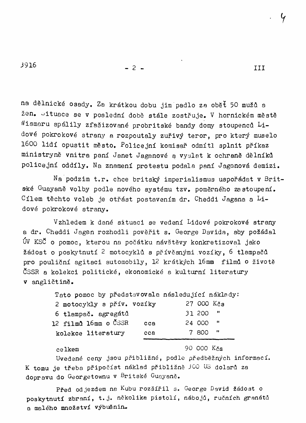III

 $-2-$ 

na dělnické osady. Za krátkou dobu jim padlo za oběť 50 mužů a žen. oituace se v poslední době stále zostřuje. V hornickém městě Wismaru spálily zfašizované probritské bandy domy stoupenců Lidové pokrokové strany a rozpoutaly zuřivý teror, pro který muselo 1600 lidí opustit město. Policejní komisař odmítl splnit příkaz ministryně vnitra paní Janet Jaganové a vyslat k ochraně dělníků policejní oddíly. Na znamení protestu podala paní Jaganová demizi.

Na podzim t.r. chce britský imperialismus uspořádat v Britské <sup>G</sup>uayaně volby podle nového systému tzv. poměrného zastoupení. Cílem těchto voleb je otřást postavením dr. Cheddi Jagana a Lidové pokrokové strany.

Vzhledem k dané situaci se vedení Lidové pokrokové strany a dr. Cheddi Jagan rozhodli pověřit s. George Davida, aby požádal ÚV KSČ o pomoc, kterou na počátku návštěvy konkretizoval jako žádost o poskytnutí 2 motocyklů s přívěsnými vozíky. 6 tlampačů pro pouliční agitaci automobily, 12 krátkých 16mm filmů o životě ČSSR a kolekci politické, ekonomické a kulturní literatury v angličtině.

| Tato pomoc by představovala následující náklady: |     |        |              |
|--------------------------------------------------|-----|--------|--------------|
| 2 motocykly s přív. vozíky                       |     |        | 27 000 Kčs   |
| 6 tlampač. agregátů                              |     | 31 200 | - 11         |
| 12 filmů 16mm o ČSSR                             | cca | 24 000 | - 11         |
| kolekce literatury                               | cca | 7 800  | $\mathbf{H}$ |
|                                                  |     |        |              |

celkem

90 000 Kxs

Uvedené ceny jsou přibližné, podle předběžných informací. K tomu je třeba připočíst náklad přibližně 300 US dolarů za dopravu do Georgetownu v Britské Guayaně.

Před odjezdem na Kubu rozšířil s. George David žádost o poskytnutí zbraní, t.j. několika pistolí, nábojů, ručních granátů a malého množství výbušnin.